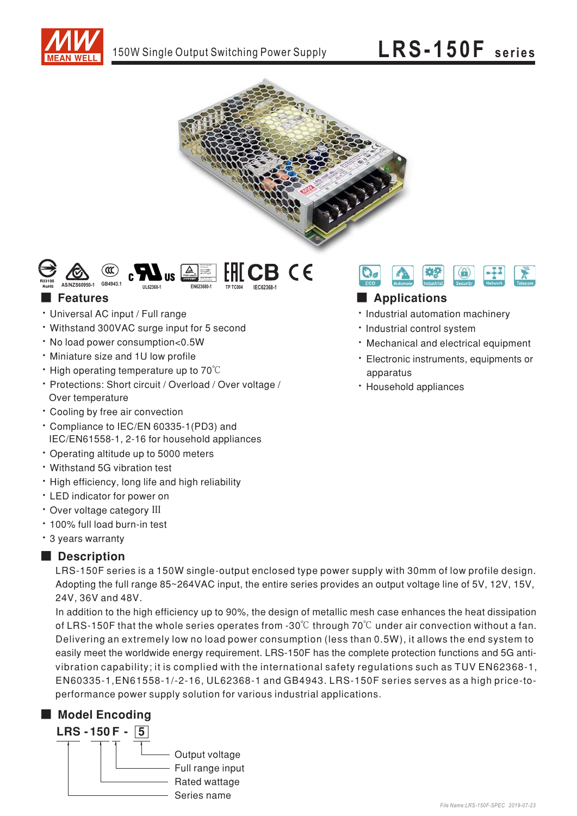





#### **Features**

- · Universal AC input / Full range
- Withstand 300VAC surge input for 5 second
- . No load power consumption<0.5W
- . Miniature size and 1U low profile
- $\cdot$  High operating temperature up to 70 $\degree$ C
- · Protections: Short circuit / Overload / Over voltage / Over temperature
- Cooling by free air convection
- \* Compliance to IEC/EN 60335-1(PD3) and IEC/EN61558-1, 2-16 for household appliances
- Operating altitude up to 5000 meters
- Withstand 5G vibration test
- High efficiency, long life and high reliability
- LED indicator for power on
- Over voltage category III
- · 100% full load burn-in test
- \* 3 years warranty

#### Description

LRS-150F series is a 150W single-output enclosed type power supply with 30mm of low profile design. Adopting the full range 85~264VAC input, the entire series provides an output voltage line of 5V, 12V, 15V, 24V, 36V and 48V.

In addition to the high efficiency up to 90%, the design of metallic mesh case enhances the heat dissipation of LRS-150F that the whole series operates from -30 $\degree$ C through 70 $\degree$ C under air convection without a fan. Delivering an extremely low no load power consumption (less than 0.5W), it allows the end system to easily meet the worldwide energy requirement. LRS-150F has the complete protection functions and 5G antivibration capability; it is complied with the international safety regulations such as TUV EN62368-1, EN60335-1, EN61558-1/-2-16, UL62368-1 and GB4943. LRS-150F series serves as a high price-toperformance power supply solution for various industrial applications.

#### Model Encoding





#### Applications

- · Industrial automation machinery
- · Industrial control system
- · Mechanical and electrical equipment
- · Electronic instruments, equipments or apparatus
- · Household appliances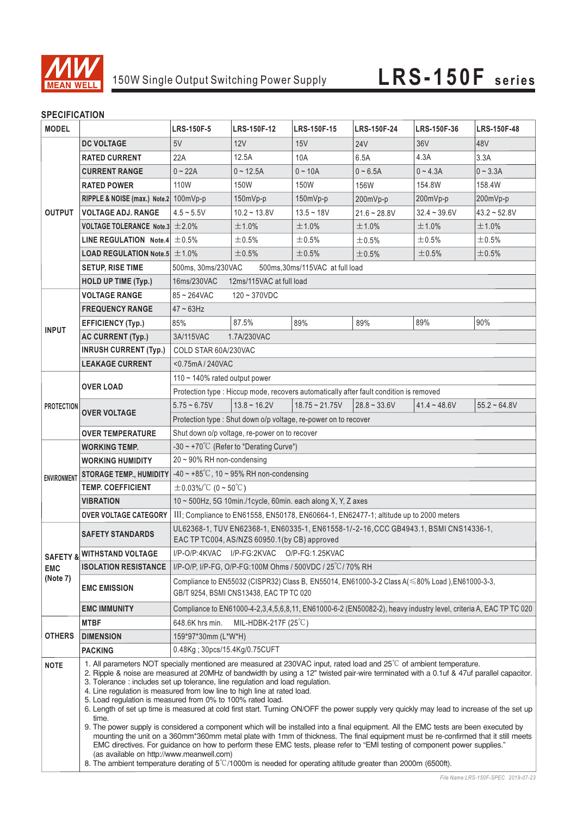

### **SPECIFICATION**

| <b>MODEL</b>           |                                                     | <b>LRS-150F-5</b>                                                                                                                                                                                                                                                                                                                                                                                                                                                                                                                                                                                                                                                                                                                                                                                                                                                                                                                                                                                                                                                                                                                                                                           | LRS-150F-12       | <b>LRS-150F-15</b>  | <b>LRS-150F-24</b> | LRS-150F-36    | LRS-150F-48    |
|------------------------|-----------------------------------------------------|---------------------------------------------------------------------------------------------------------------------------------------------------------------------------------------------------------------------------------------------------------------------------------------------------------------------------------------------------------------------------------------------------------------------------------------------------------------------------------------------------------------------------------------------------------------------------------------------------------------------------------------------------------------------------------------------------------------------------------------------------------------------------------------------------------------------------------------------------------------------------------------------------------------------------------------------------------------------------------------------------------------------------------------------------------------------------------------------------------------------------------------------------------------------------------------------|-------------------|---------------------|--------------------|----------------|----------------|
| <b>OUTPUT</b>          | <b>DC VOLTAGE</b>                                   | 5V                                                                                                                                                                                                                                                                                                                                                                                                                                                                                                                                                                                                                                                                                                                                                                                                                                                                                                                                                                                                                                                                                                                                                                                          | 12V               | 15V                 | <b>24V</b>         | 36V            | 48V            |
|                        | <b>RATED CURRENT</b>                                | 22A                                                                                                                                                                                                                                                                                                                                                                                                                                                                                                                                                                                                                                                                                                                                                                                                                                                                                                                                                                                                                                                                                                                                                                                         | 12.5A             | 10A                 | 6.5A               | 4.3A           | 3.3A           |
|                        | <b>CURRENT RANGE</b>                                | $0 - 22A$                                                                                                                                                                                                                                                                                                                                                                                                                                                                                                                                                                                                                                                                                                                                                                                                                                                                                                                                                                                                                                                                                                                                                                                   | $0 - 12.5A$       | $0 - 10A$           | $0 - 6.5A$         | $0 - 4.3A$     | $0 - 3.3A$     |
|                        | <b>RATED POWER</b>                                  | 110W                                                                                                                                                                                                                                                                                                                                                                                                                                                                                                                                                                                                                                                                                                                                                                                                                                                                                                                                                                                                                                                                                                                                                                                        | 150W              | 150W                | 156W               | 154.8W         | 158.4W         |
|                        | RIPPLE & NOISE (max.) Note.2 100mVp-p               |                                                                                                                                                                                                                                                                                                                                                                                                                                                                                                                                                                                                                                                                                                                                                                                                                                                                                                                                                                                                                                                                                                                                                                                             | 150mVp-p          | $150mVp-p$          | 200mVp-p           | 200mVp-p       | 200mVp-p       |
|                        | <b>VOLTAGE ADJ. RANGE</b>                           | $4.5 - 5.5V$                                                                                                                                                                                                                                                                                                                                                                                                                                                                                                                                                                                                                                                                                                                                                                                                                                                                                                                                                                                                                                                                                                                                                                                | $10.2 - 13.8V$    | $13.5 - 18V$        | $21.6 - 28.8V$     | $32.4 - 39.6V$ | $43.2 - 52.8V$ |
|                        | VOLTAGE TOLERANCE Note.3 $\pm$ 2.0%                 |                                                                                                                                                                                                                                                                                                                                                                                                                                                                                                                                                                                                                                                                                                                                                                                                                                                                                                                                                                                                                                                                                                                                                                                             | ±1.0%             | ±1.0%               | ±1.0%              | ±1.0%          | ±1.0%          |
|                        | LINE REGULATION Note.4 $\pm$ 0.5%                   |                                                                                                                                                                                                                                                                                                                                                                                                                                                                                                                                                                                                                                                                                                                                                                                                                                                                                                                                                                                                                                                                                                                                                                                             | $\pm 0.5\%$       | $\pm$ 0.5%          | ±0.5%              | $\pm 0.5\%$    | $\pm 0.5\%$    |
|                        | <b>LOAD REGULATION Note.5 <math>\pm</math> 1.0%</b> |                                                                                                                                                                                                                                                                                                                                                                                                                                                                                                                                                                                                                                                                                                                                                                                                                                                                                                                                                                                                                                                                                                                                                                                             | ±0.5%             | ±0.5%               | ±0.5%              | ±0.5%          | ±0.5%          |
|                        | <b>SETUP, RISE TIME</b>                             | 500ms, 30ms/230VAC<br>500ms, 30ms/115VAC at full load                                                                                                                                                                                                                                                                                                                                                                                                                                                                                                                                                                                                                                                                                                                                                                                                                                                                                                                                                                                                                                                                                                                                       |                   |                     |                    |                |                |
|                        | <b>HOLD UP TIME (Typ.)</b>                          | 16ms/230VAC<br>12ms/115VAC at full load                                                                                                                                                                                                                                                                                                                                                                                                                                                                                                                                                                                                                                                                                                                                                                                                                                                                                                                                                                                                                                                                                                                                                     |                   |                     |                    |                |                |
| <b>INPUT</b>           | <b>VOLTAGE RANGE</b>                                | $85 - 264$ VAC<br>$120 - 370$ VDC                                                                                                                                                                                                                                                                                                                                                                                                                                                                                                                                                                                                                                                                                                                                                                                                                                                                                                                                                                                                                                                                                                                                                           |                   |                     |                    |                |                |
|                        | <b>FREQUENCY RANGE</b>                              | $47 \sim 63$ Hz                                                                                                                                                                                                                                                                                                                                                                                                                                                                                                                                                                                                                                                                                                                                                                                                                                                                                                                                                                                                                                                                                                                                                                             |                   |                     |                    |                |                |
|                        | <b>EFFICIENCY (Typ.)</b>                            | 85%                                                                                                                                                                                                                                                                                                                                                                                                                                                                                                                                                                                                                                                                                                                                                                                                                                                                                                                                                                                                                                                                                                                                                                                         | 87.5%             | 89%                 | 89%                | 89%            | 90%            |
|                        | <b>AC CURRENT (Typ.)</b>                            | 3A/115VAC                                                                                                                                                                                                                                                                                                                                                                                                                                                                                                                                                                                                                                                                                                                                                                                                                                                                                                                                                                                                                                                                                                                                                                                   | 1.7A/230VAC       |                     |                    |                |                |
|                        | <b>INRUSH CURRENT (Typ.)</b>                        | COLD STAR 60A/230VAC                                                                                                                                                                                                                                                                                                                                                                                                                                                                                                                                                                                                                                                                                                                                                                                                                                                                                                                                                                                                                                                                                                                                                                        |                   |                     |                    |                |                |
|                        | <b>LEAKAGE CURRENT</b>                              | <0.75mA / 240VAC                                                                                                                                                                                                                                                                                                                                                                                                                                                                                                                                                                                                                                                                                                                                                                                                                                                                                                                                                                                                                                                                                                                                                                            |                   |                     |                    |                |                |
|                        |                                                     | 110 $\sim$ 140% rated output power                                                                                                                                                                                                                                                                                                                                                                                                                                                                                                                                                                                                                                                                                                                                                                                                                                                                                                                                                                                                                                                                                                                                                          |                   |                     |                    |                |                |
| <b>PROTECTION</b>      | <b>OVER LOAD</b>                                    | Protection type : Hiccup mode, recovers automatically after fault condition is removed                                                                                                                                                                                                                                                                                                                                                                                                                                                                                                                                                                                                                                                                                                                                                                                                                                                                                                                                                                                                                                                                                                      |                   |                     |                    |                |                |
|                        | <b>OVER VOLTAGE</b>                                 | $5.75 - 6.75V$                                                                                                                                                                                                                                                                                                                                                                                                                                                                                                                                                                                                                                                                                                                                                                                                                                                                                                                                                                                                                                                                                                                                                                              | $13.8 \sim 16.2V$ | $18.75 \sim 21.75V$ | $28.8 - 33.6V$     | $41.4 - 48.6V$ | $55.2 - 64.8V$ |
|                        |                                                     |                                                                                                                                                                                                                                                                                                                                                                                                                                                                                                                                                                                                                                                                                                                                                                                                                                                                                                                                                                                                                                                                                                                                                                                             |                   |                     |                    |                |                |
|                        |                                                     | Protection type : Shut down o/p voltage, re-power on to recover                                                                                                                                                                                                                                                                                                                                                                                                                                                                                                                                                                                                                                                                                                                                                                                                                                                                                                                                                                                                                                                                                                                             |                   |                     |                    |                |                |
|                        | <b>OVER TEMPERATURE</b>                             | Shut down o/p voltage, re-power on to recover                                                                                                                                                                                                                                                                                                                                                                                                                                                                                                                                                                                                                                                                                                                                                                                                                                                                                                                                                                                                                                                                                                                                               |                   |                     |                    |                |                |
| <b>ENVIRONMENT</b>     | <b>WORKING TEMP.</b>                                | $-30 \sim +70^{\circ}$ (Refer to "Derating Curve")<br>$20 \sim 90\%$ RH non-condensing                                                                                                                                                                                                                                                                                                                                                                                                                                                                                                                                                                                                                                                                                                                                                                                                                                                                                                                                                                                                                                                                                                      |                   |                     |                    |                |                |
|                        | <b>WORKING HUMIDITY</b>                             |                                                                                                                                                                                                                                                                                                                                                                                                                                                                                                                                                                                                                                                                                                                                                                                                                                                                                                                                                                                                                                                                                                                                                                                             |                   |                     |                    |                |                |
|                        | <b>STORAGE TEMP., HUMIDITY</b>                      | $-40 \sim +85^{\circ}$ C, 10 ~ 95% RH non-condensing                                                                                                                                                                                                                                                                                                                                                                                                                                                                                                                                                                                                                                                                                                                                                                                                                                                                                                                                                                                                                                                                                                                                        |                   |                     |                    |                |                |
|                        | <b>TEMP. COEFFICIENT</b>                            | $\pm$ 0.03%/°C (0 ~ 50°C)                                                                                                                                                                                                                                                                                                                                                                                                                                                                                                                                                                                                                                                                                                                                                                                                                                                                                                                                                                                                                                                                                                                                                                   |                   |                     |                    |                |                |
|                        | <b>VIBRATION</b>                                    | $10 \sim 500$ Hz, 5G 10min./1cycle, 60min. each along X, Y, Z axes                                                                                                                                                                                                                                                                                                                                                                                                                                                                                                                                                                                                                                                                                                                                                                                                                                                                                                                                                                                                                                                                                                                          |                   |                     |                    |                |                |
|                        | <b>OVER VOLTAGE CATEGORY</b>                        | III; Compliance to EN61558, EN50178, EN60664-1, EN62477-1; altitude up to 2000 meters                                                                                                                                                                                                                                                                                                                                                                                                                                                                                                                                                                                                                                                                                                                                                                                                                                                                                                                                                                                                                                                                                                       |                   |                     |                    |                |                |
| <b>EMC</b><br>(Note 7) | <b>SAFETY STANDARDS</b>                             | UL62368-1, TUV EN62368-1, EN60335-1, EN61558-1/-2-16, CCC GB4943.1, BSMI CNS14336-1,<br>EAC TP TC004, AS/NZS 60950.1(by CB) approved                                                                                                                                                                                                                                                                                                                                                                                                                                                                                                                                                                                                                                                                                                                                                                                                                                                                                                                                                                                                                                                        |                   |                     |                    |                |                |
|                        | <b>SAFETY &amp; WITHSTAND VOLTAGE</b>               | I/P-O/P:4KVAC I/P-FG:2KVAC O/P-FG:1.25KVAC                                                                                                                                                                                                                                                                                                                                                                                                                                                                                                                                                                                                                                                                                                                                                                                                                                                                                                                                                                                                                                                                                                                                                  |                   |                     |                    |                |                |
|                        | <b>ISOLATION RESISTANCE</b>                         | I/P-O/P, I/P-FG, O/P-FG:100M Ohms / 500VDC / 25°C/70% RH                                                                                                                                                                                                                                                                                                                                                                                                                                                                                                                                                                                                                                                                                                                                                                                                                                                                                                                                                                                                                                                                                                                                    |                   |                     |                    |                |                |
|                        | <b>EMC EMISSION</b>                                 | Compliance to EN55032 (CISPR32) Class B, EN55014, EN61000-3-2 Class A(≤80% Load),EN61000-3-3,<br>GB/T 9254, BSMI CNS13438, EAC TP TC 020                                                                                                                                                                                                                                                                                                                                                                                                                                                                                                                                                                                                                                                                                                                                                                                                                                                                                                                                                                                                                                                    |                   |                     |                    |                |                |
|                        | <b>EMC IMMUNITY</b>                                 | Compliance to EN61000-4-2,3,4,5,6,8,11, EN61000-6-2 (EN50082-2), heavy industry level, criteria A, EAC TP TC 020                                                                                                                                                                                                                                                                                                                                                                                                                                                                                                                                                                                                                                                                                                                                                                                                                                                                                                                                                                                                                                                                            |                   |                     |                    |                |                |
| <b>OTHERS</b>          | <b>MTBF</b>                                         | MIL-HDBK-217F $(25^{\circ}C)$<br>648.6K hrs min.                                                                                                                                                                                                                                                                                                                                                                                                                                                                                                                                                                                                                                                                                                                                                                                                                                                                                                                                                                                                                                                                                                                                            |                   |                     |                    |                |                |
|                        | <b>DIMENSION</b>                                    | 159*97*30mm (L*W*H)                                                                                                                                                                                                                                                                                                                                                                                                                                                                                                                                                                                                                                                                                                                                                                                                                                                                                                                                                                                                                                                                                                                                                                         |                   |                     |                    |                |                |
|                        | <b>PACKING</b>                                      | 0.48Kg; 30pcs/15.4Kg/0.75CUFT                                                                                                                                                                                                                                                                                                                                                                                                                                                                                                                                                                                                                                                                                                                                                                                                                                                                                                                                                                                                                                                                                                                                                               |                   |                     |                    |                |                |
| <b>NOTE</b>            | time.<br>(as available on http://www.meanwell.com)  | 1. All parameters NOT specially mentioned are measured at 230VAC input, rated load and 25 <sup>°</sup> C of ambient temperature.<br>2. Ripple & noise are measured at 20MHz of bandwidth by using a 12" twisted pair-wire terminated with a 0.1uf & 47uf parallel capacitor.<br>3. Tolerance: includes set up tolerance, line regulation and load regulation.<br>4. Line regulation is measured from low line to high line at rated load.<br>5. Load regulation is measured from 0% to 100% rated load.<br>6. Length of set up time is measured at cold first start. Turning ON/OFF the power supply very quickly may lead to increase of the set up<br>9. The power supply is considered a component which will be installed into a final equipment. All the EMC tests are been executed by<br>mounting the unit on a 360mm*360mm metal plate with 1mm of thickness. The final equipment must be re-confirmed that it still meets<br>EMC directives. For guidance on how to perform these EMC tests, please refer to "EMI testing of component power supplies."<br>8. The ambient temperature derating of $5^{\circ}$ /1000m is needed for operating altitude greater than 2000m (6500ft). |                   |                     |                    |                |                |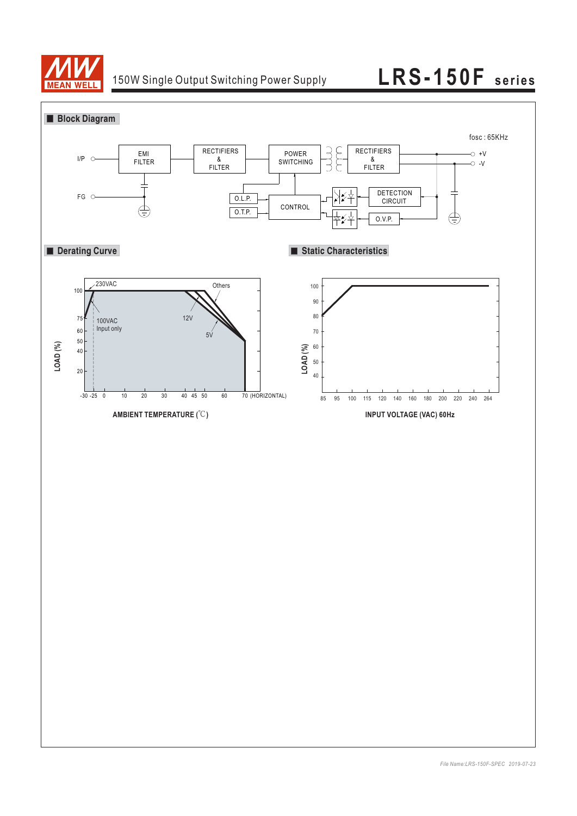

## 150W Single Output Switching Power Supply **LRS-150F series**